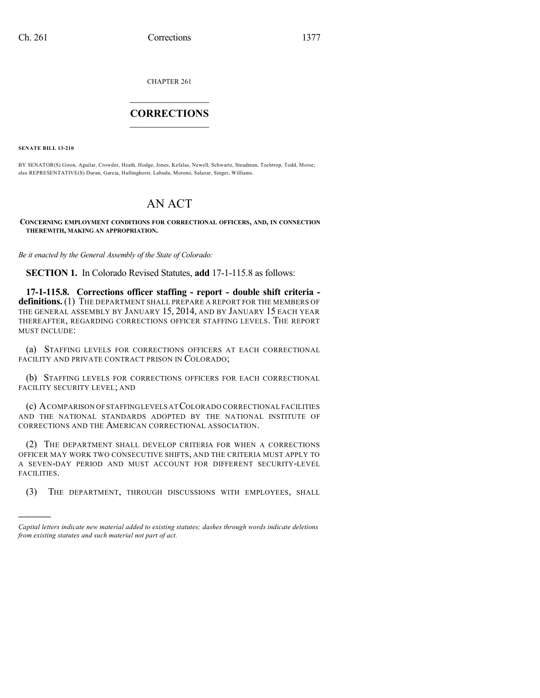CHAPTER 261

## $\mathcal{L}_\text{max}$  . The set of the set of the set of the set of the set of the set of the set of the set of the set of the set of the set of the set of the set of the set of the set of the set of the set of the set of the set **CORRECTIONS**  $\frac{1}{2}$  ,  $\frac{1}{2}$  ,  $\frac{1}{2}$  ,  $\frac{1}{2}$  ,  $\frac{1}{2}$  ,  $\frac{1}{2}$

**SENATE BILL 13-210**

)))))

BY SENATOR(S) Giron, Aguilar, Crowder, Heath, Hodge, Jones, Kefalas, Newell, Schwartz, Steadman, Tochtrop, Todd, Morse; also REPRESENTATIVE(S) Duran, Garcia, Hullinghorst, Labuda, Moreno, Salazar, Singer, Williams.

## AN ACT

**CONCERNING EMPLOYMENT CONDITIONS FOR CORRECTIONAL OFFICERS, AND, IN CONNECTION THEREWITH, MAKING AN APPROPRIATION.**

*Be it enacted by the General Assembly of the State of Colorado:*

**SECTION 1.** In Colorado Revised Statutes, **add** 17-1-115.8 as follows:

**17-1-115.8. Corrections officer staffing - report - double shift criteria definitions.** (1) THE DEPARTMENT SHALL PREPARE A REPORT FOR THE MEMBERS OF THE GENERAL ASSEMBLY BY JANUARY 15, 2014, AND BY JANUARY 15 EACH YEAR THEREAFTER, REGARDING CORRECTIONS OFFICER STAFFING LEVELS. THE REPORT MUST INCLUDE:

(a) STAFFING LEVELS FOR CORRECTIONS OFFICERS AT EACH CORRECTIONAL FACILITY AND PRIVATE CONTRACT PRISON IN COLORADO;

(b) STAFFING LEVELS FOR CORRECTIONS OFFICERS FOR EACH CORRECTIONAL FACILITY SECURITY LEVEL; AND

(c) ACOMPARISON OFSTAFFINGLEVELS AT COLORADO CORRECTIONAL FACILITIES AND THE NATIONAL STANDARDS ADOPTED BY THE NATIONAL INSTITUTE OF CORRECTIONS AND THE AMERICAN CORRECTIONAL ASSOCIATION.

(2) THE DEPARTMENT SHALL DEVELOP CRITERIA FOR WHEN A CORRECTIONS OFFICER MAY WORK TWO CONSECUTIVE SHIFTS, AND THE CRITERIA MUST APPLY TO A SEVEN-DAY PERIOD AND MUST ACCOUNT FOR DIFFERENT SECURITY-LEVEL FACILITIES.

(3) THE DEPARTMENT, THROUGH DISCUSSIONS WITH EMPLOYEES, SHALL

*Capital letters indicate new material added to existing statutes; dashes through words indicate deletions from existing statutes and such material not part of act.*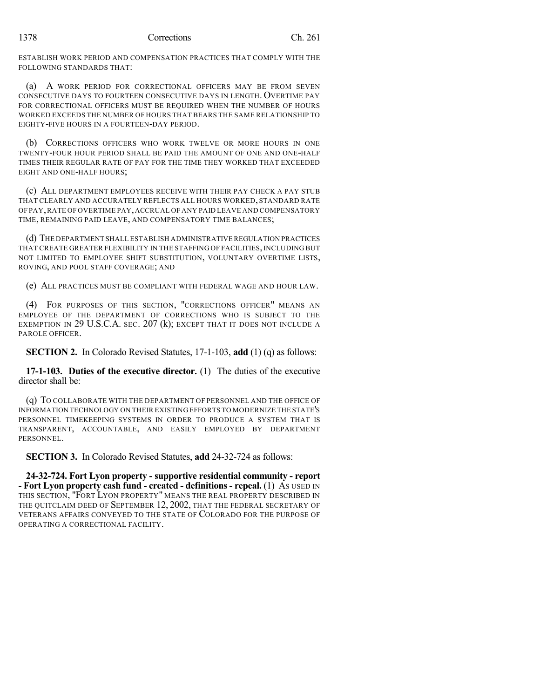ESTABLISH WORK PERIOD AND COMPENSATION PRACTICES THAT COMPLY WITH THE FOLLOWING STANDARDS THAT:

(a) A WORK PERIOD FOR CORRECTIONAL OFFICERS MAY BE FROM SEVEN CONSECUTIVE DAYS TO FOURTEEN CONSECUTIVE DAYS IN LENGTH. OVERTIME PAY FOR CORRECTIONAL OFFICERS MUST BE REQUIRED WHEN THE NUMBER OF HOURS WORKED EXCEEDS THE NUMBER OF HOURS THAT BEARS THE SAME RELATIONSHIP TO EIGHTY-FIVE HOURS IN A FOURTEEN-DAY PERIOD.

(b) CORRECTIONS OFFICERS WHO WORK TWELVE OR MORE HOURS IN ONE TWENTY-FOUR HOUR PERIOD SHALL BE PAID THE AMOUNT OF ONE AND ONE-HALF TIMES THEIR REGULAR RATE OF PAY FOR THE TIME THEY WORKED THAT EXCEEDED EIGHT AND ONE-HALF HOURS;

(c) ALL DEPARTMENT EMPLOYEES RECEIVE WITH THEIR PAY CHECK A PAY STUB THAT CLEARLY AND ACCURATELY REFLECTS ALL HOURS WORKED, STANDARD RATE OF PAY,RATE OF OVERTIME PAY,ACCRUAL OF ANY PAID LEAVE AND COMPENSATORY TIME, REMAINING PAID LEAVE, AND COMPENSATORY TIME BALANCES;

(d) THE DEPARTMENT SHALL ESTABLISH ADMINISTRATIVE REGULATION PRACTICES THAT CREATE GREATER FLEXIBILITY IN THE STAFFING OF FACILITIES, INCLUDING BUT NOT LIMITED TO EMPLOYEE SHIFT SUBSTITUTION, VOLUNTARY OVERTIME LISTS, ROVING, AND POOL STAFF COVERAGE; AND

(e) ALL PRACTICES MUST BE COMPLIANT WITH FEDERAL WAGE AND HOUR LAW.

(4) FOR PURPOSES OF THIS SECTION, "CORRECTIONS OFFICER" MEANS AN EMPLOYEE OF THE DEPARTMENT OF CORRECTIONS WHO IS SUBJECT TO THE EXEMPTION IN 29 U.S.C.A. SEC. 207 (k); EXCEPT THAT IT DOES NOT INCLUDE A PAROLE OFFICER.

**SECTION 2.** In Colorado Revised Statutes, 17-1-103, **add** (1) (q) as follows:

**17-1-103. Duties of the executive director.** (1) The duties of the executive director shall be:

(q) TO COLLABORATE WITH THE DEPARTMENT OF PERSONNEL AND THE OFFICE OF INFORMATION TECHNOLOGY ON THEIR EXISTING EFFORTS TO MODERNIZE THE STATE'S PERSONNEL TIMEKEEPING SYSTEMS IN ORDER TO PRODUCE A SYSTEM THAT IS TRANSPARENT, ACCOUNTABLE, AND EASILY EMPLOYED BY DEPARTMENT PERSONNEL.

**SECTION 3.** In Colorado Revised Statutes, **add** 24-32-724 as follows:

**24-32-724. Fort Lyon property - supportive residential community - report - Fort Lyon property cash fund - created - definitions - repeal.** (1) AS USED IN THIS SECTION, "FORT LYON PROPERTY" MEANS THE REAL PROPERTY DESCRIBED IN THE QUITCLAIM DEED OF SEPTEMBER 12, 2002, THAT THE FEDERAL SECRETARY OF VETERANS AFFAIRS CONVEYED TO THE STATE OF COLORADO FOR THE PURPOSE OF OPERATING A CORRECTIONAL FACILITY.